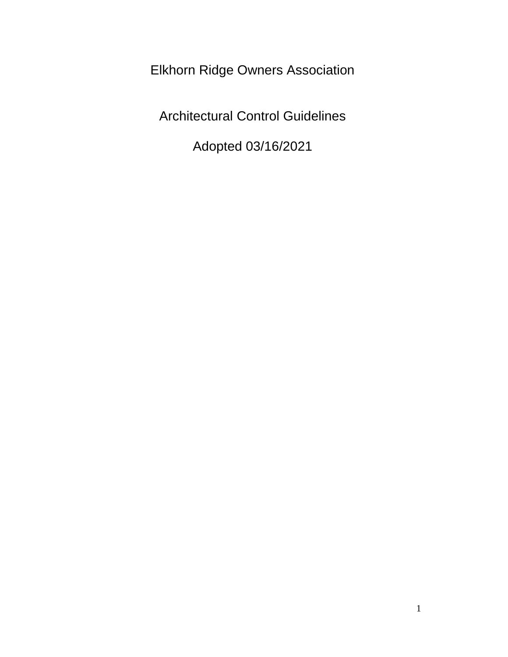Elkhorn Ridge Owners Association

Architectural Control Guidelines

Adopted 03/16/2021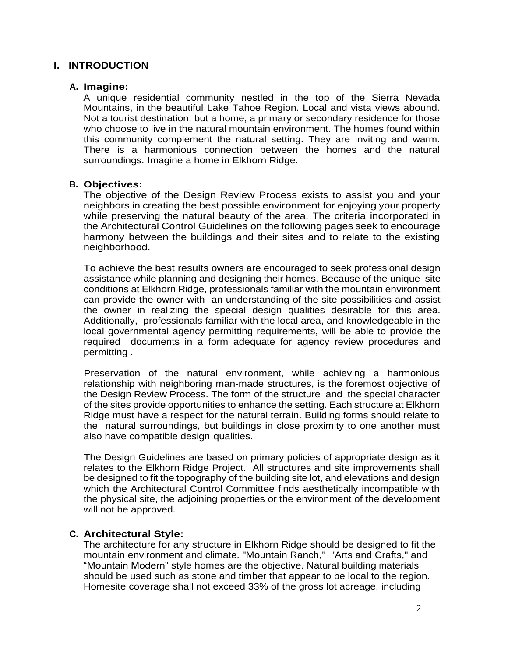# **I. INTRODUCTION**

### **A. Imagine:**

A unique residential community nestled in the top of the Sierra Nevada Mountains, in the beautiful Lake Tahoe Region. Local and vista views abound. Not a tourist destination, but a home, a primary or secondary residence for those who choose to live in the natural mountain environment. The homes found within this community complement the natural setting. They are inviting and warm. There is a harmonious connection between the homes and the natural surroundings. Imagine a home in Elkhorn Ridge.

## **B. Objectives:**

The objective of the Design Review Process exists to assist you and your neighbors in creating the best possible environment for enjoying your property while preserving the natural beauty of the area. The criteria incorporated in the Architectural Control Guidelines on the following pages seek to encourage harmony between the buildings and their sites and to relate to the existing neighborhood.

To achieve the best results owners are encouraged to seek professional design assistance while planning and designing their homes. Because of the unique site conditions at Elkhorn Ridge, professionals familiar with the mountain environment can provide the owner with an understanding of the site possibilities and assist the owner in realizing the special design qualities desirable for this area. Additionally, professionals familiar with the local area, and knowledgeable in the local governmental agency permitting requirements, will be able to provide the required documents in a form adequate for agency review procedures and permitting .

Preservation of the natural environment, while achieving a harmonious relationship with neighboring man-made structures, is the foremost objective of the Design Review Process. The form of the structure and the special character of the sites provide opportunities to enhance the setting. Each structure at Elkhorn Ridge must have a respect for the natural terrain. Building forms should relate to the natural surroundings, but buildings in close proximity to one another must also have compatible design qualities.

The Design Guidelines are based on primary policies of appropriate design as it relates to the Elkhorn Ridge Project. All structures and site improvements shall be designed to fit the topography of the building site lot, and elevations and design which the Architectural Control Committee finds aesthetically incompatible with the physical site, the adjoining properties or the environment of the development will not be approved.

## **C. Architectural Style:**

The architecture for any structure in Elkhorn Ridge should be designed to fit the mountain environment and climate. "Mountain Ranch," "Arts and Crafts," and "Mountain Modern" style homes are the objective. Natural building materials should be used such as stone and timber that appear to be local to the region. Homesite coverage shall not exceed 33% of the gross lot acreage, including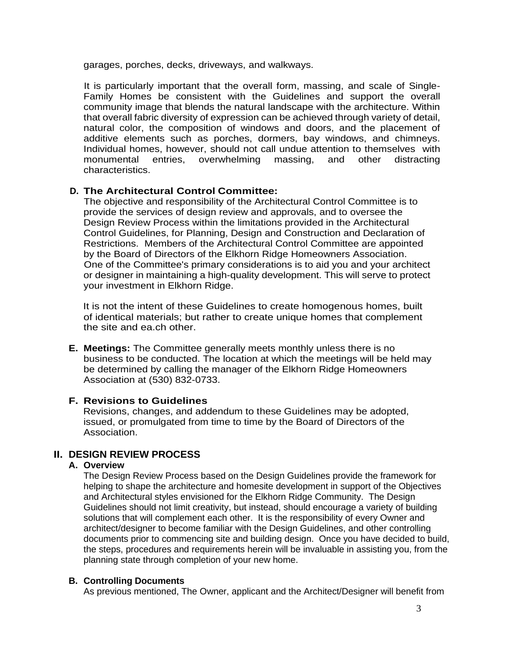garages, porches, decks, driveways, and walkways.

It is particularly important that the overall form, massing, and scale of Single-Family Homes be consistent with the Guidelines and support the overall community image that blends the natural landscape with the architecture. Within that overall fabric diversity of expression can be achieved through variety of detail, natural color, the composition of windows and doors, and the placement of additive elements such as porches, dormers, bay windows, and chimneys. Individual homes, however, should not call undue attention to themselves with monumental entries, overwhelming massing, and other distracting characteristics.

## **D. The Architectural Control Committee:**

The objective and responsibility of the Architectural Control Committee is to provide the services of design review and approvals, and to oversee the Design Review Process within the limitations provided in the Architectural Control Guidelines, for Planning, Design and Construction and Declaration of Restrictions. Members of the Architectural Control Committee are appointed by the Board of Directors of the Elkhorn Ridge Homeowners Association. One of the Committee's primary considerations is to aid you and your architect or designer in maintaining a high-quality development. This will serve to protect your investment in Elkhorn Ridge.

It is not the intent of these Guidelines to create homogenous homes, built of identical materials; but rather to create unique homes that complement the site and ea.ch other.

**E. Meetings:** The Committee generally meets monthly unless there is no business to be conducted. The location at which the meetings will be held may be determined by calling the manager of the Elkhorn Ridge Homeowners Association at (530) 832-0733.

#### **F. Revisions to Guidelines**

Revisions, changes, and addendum to these Guidelines may be adopted, issued, or promulgated from time to time by the Board of Directors of the Association.

# **II. DESIGN REVIEW PROCESS**

## **A. Overview**

The Design Review Process based on the Design Guidelines provide the framework for helping to shape the architecture and homesite development in support of the Objectives and Architectural styles envisioned for the Elkhorn Ridge Community. The Design Guidelines should not limit creativity, but instead, should encourage a variety of building solutions that will complement each other. It is the responsibility of every Owner and architect/designer to become familiar with the Design Guidelines, and other controlling documents prior to commencing site and building design. Once you have decided to build, the steps, procedures and requirements herein will be invaluable in assisting you, from the planning state through completion of your new home.

#### **B. Controlling Documents**

As previous mentioned, The Owner, applicant and the Architect/Designer will benefit from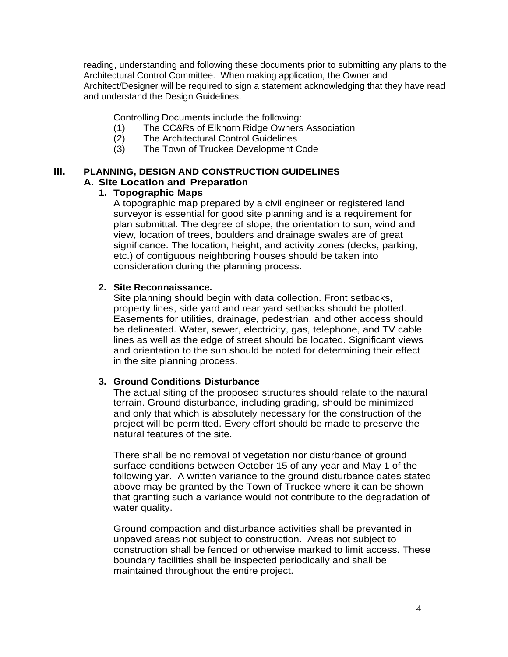reading, understanding and following these documents prior to submitting any plans to the Architectural Control Committee. When making application, the Owner and Architect/Designer will be required to sign a statement acknowledging that they have read and understand the Design Guidelines.

Controlling Documents include the following:

- (1) The CC&Rs of Elkhorn Ridge Owners Association
- (2) The Architectural Control Guidelines
- (3) The Town of Truckee Development Code

#### **III. PLANNING, DESIGN AND CONSTRUCTION GUIDELINES A. Site Location and Preparation**

# **1. Topographic Maps**

A topographic map prepared by a civil engineer or registered land surveyor is essential for good site planning and is a requirement for plan submittal. The degree of slope, the orientation to sun, wind and view, location of trees, boulders and drainage swales are of great significance. The location, height, and activity zones (decks, parking, etc.) of contiguous neighboring houses should be taken into consideration during the planning process.

## **2. Site Reconnaissance.**

Site planning should begin with data collection. Front setbacks, property lines, side yard and rear yard setbacks should be plotted. Easements for utilities, drainage, pedestrian, and other access should be delineated. Water, sewer, electricity, gas, telephone, and TV cable lines as well as the edge of street should be located. Significant views and orientation to the sun should be noted for determining their effect in the site planning process.

## **3. Ground Conditions Disturbance**

The actual siting of the proposed structures should relate to the natural terrain. Ground disturbance, including grading, should be minimized and only that which is absolutely necessary for the construction of the project will be permitted. Every effort should be made to preserve the natural features of the site.

There shall be no removal of vegetation nor disturbance of ground surface conditions between October 15 of any year and May 1 of the following yar. A written variance to the ground disturbance dates stated above may be granted by the Town of Truckee where it can be shown that granting such a variance would not contribute to the degradation of water quality.

Ground compaction and disturbance activities shall be prevented in unpaved areas not subject to construction. Areas not subject to construction shall be fenced or otherwise marked to limit access. These boundary facilities shall be inspected periodically and shall be maintained throughout the entire project.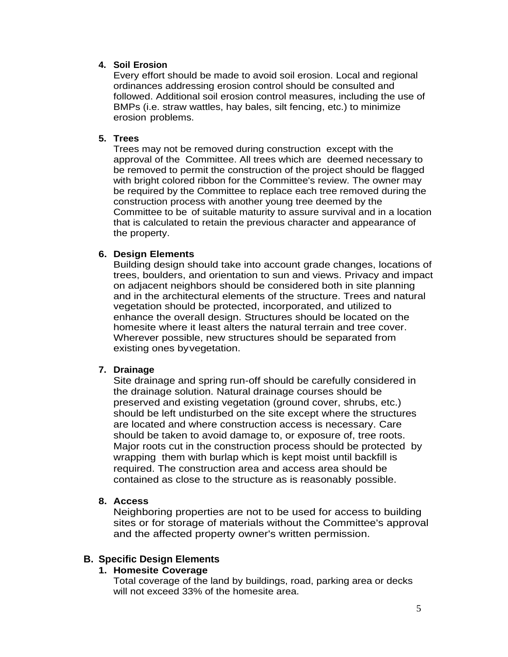## **4. Soil Erosion**

Every effort should be made to avoid soil erosion. Local and regional ordinances addressing erosion control should be consulted and followed. Additional soil erosion control measures, including the use of BMPs (i.e. straw wattles, hay bales, silt fencing, etc.) to minimize erosion problems.

## **5. Trees**

Trees may not be removed during construction except with the approval of the Committee. All trees which are deemed necessary to be removed to permit the construction of the project should be flagged with bright colored ribbon for the Committee's review. The owner may be required by the Committee to replace each tree removed during the construction process with another young tree deemed by the Committee to be of suitable maturity to assure survival and in a location that is calculated to retain the previous character and appearance of the property.

## **6. Design Elements**

Building design should take into account grade changes, locations of trees, boulders, and orientation to sun and views. Privacy and impact on adjacent neighbors should be considered both in site planning and in the architectural elements of the structure. Trees and natural vegetation should be protected, incorporated, and utilized to enhance the overall design. Structures should be located on the homesite where it least alters the natural terrain and tree cover. Wherever possible, new structures should be separated from existing ones byvegetation.

## **7. Drainage**

Site drainage and spring run-off should be carefully considered in the drainage solution. Natural drainage courses should be preserved and existing vegetation (ground cover, shrubs, etc.) should be left undisturbed on the site except where the structures are located and where construction access is necessary. Care should be taken to avoid damage to, or exposure of, tree roots. Major roots cut in the construction process should be protected by wrapping them with burlap which is kept moist until backfill is required. The construction area and access area should be contained as close to the structure as is reasonably possible.

#### **8. Access**

Neighboring properties are not to be used for access to building sites or for storage of materials without the Committee's approval and the affected property owner's written permission.

## **B. Specific Design Elements**

## **1. Homesite Coverage**

Total coverage of the land by buildings, road, parking area or decks will not exceed 33% of the homesite area.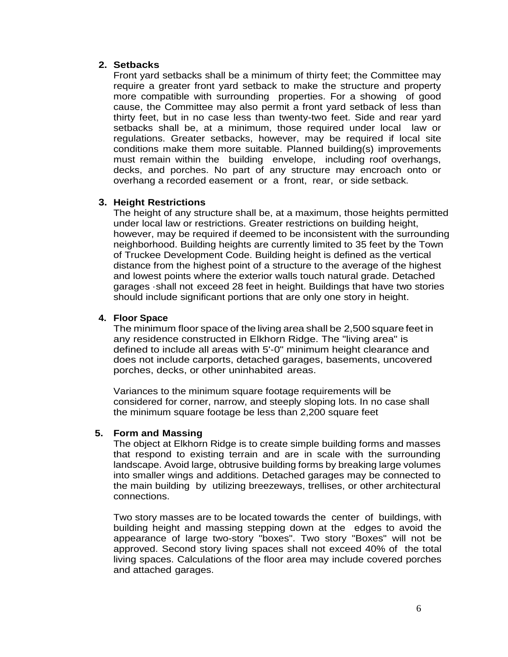## **2. Setbacks**

Front yard setbacks shall be a minimum of thirty feet; the Committee may require a greater front yard setback to make the structure and property more compatible with surrounding properties. For a showing of good cause, the Committee may also permit a front yard setback of less than thirty feet, but in no case less than twenty-two feet. Side and rear yard setbacks shall be, at a minimum, those required under local law or regulations. Greater setbacks, however, may be required if local site conditions make them more suitable. Planned building(s) improvements must remain within the building envelope, including roof overhangs, decks, and porches. No part of any structure may encroach onto or overhang a recorded easement or a front, rear, or side setback.

## **3. Height Restrictions**

The height of any structure shall be, at a maximum, those heights permitted under local law or restrictions. Greater restrictions on building height, however, may be required if deemed to be inconsistent with the surrounding neighborhood. Building heights are currently limited to 35 feet by the Town of Truckee Development Code. Building height is defined as the vertical distance from the highest point of a structure to the average of the highest and lowest points where the exterior walls touch natural grade. Detached garages ·shall not exceed 28 feet in height. Buildings that have two stories should include significant portions that are only one story in height.

## **4. Floor Space**

The minimum floor space of the living area shall be 2,500 square feet in any residence constructed in Elkhorn Ridge. The "living area" is defined to include all areas with 5'-0" minimum height clearance and does not include carports, detached garages, basements, uncovered porches, decks, or other uninhabited areas.

Variances to the minimum square footage requirements will be considered for corner, narrow, and steeply sloping lots. In no case shall the minimum square footage be less than 2,200 square feet

#### **5. Form and Massing**

The object at Elkhorn Ridge is to create simple building forms and masses that respond to existing terrain and are in scale with the surrounding landscape. Avoid large, obtrusive building forms by breaking large volumes into smaller wings and additions. Detached garages may be connected to the main building by utilizing breezeways, trellises, or other architectural connections.

Two story masses are to be located towards the center of buildings, with building height and massing stepping down at the edges to avoid the appearance of large two-story "boxes". Two story "Boxes" will not be approved. Second story living spaces shall not exceed 40% of the total living spaces. Calculations of the floor area may include covered porches and attached garages.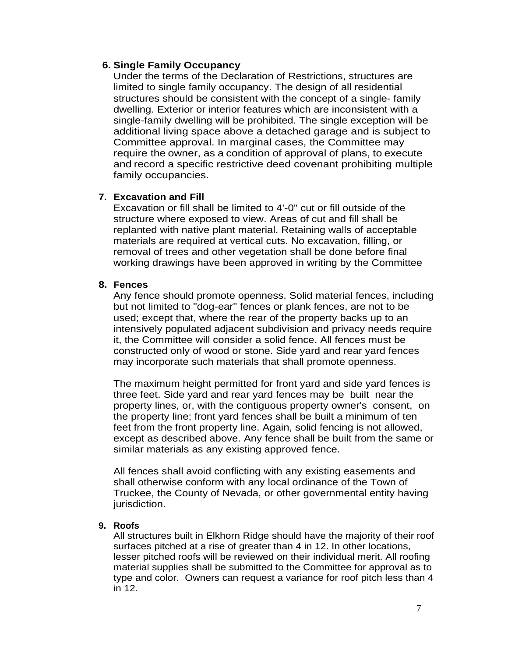## **6. Single Family Occupancy**

Under the terms of the Declaration of Restrictions, structures are limited to single family occupancy. The design of all residential structures should be consistent with the concept of a single- family dwelling. Exterior or interior features which are inconsistent with a single-family dwelling will be prohibited. The single exception will be additional living space above a detached garage and is subject to Committee approval. In marginal cases, the Committee may require the owner, as a condition of approval of plans, to execute and record a specific restrictive deed covenant prohibiting multiple family occupancies.

# **7. Excavation and Fill**

Excavation or fill shall be limited to 4'-0" cut or fill outside of the structure where exposed to view. Areas of cut and fill shall be replanted with native plant material. Retaining walls of acceptable materials are required at vertical cuts. No excavation, filling, or removal of trees and other vegetation shall be done before final working drawings have been approved in writing by the Committee

## **8. Fences**

Any fence should promote openness. Solid material fences, including but not limited to "dog-ear" fences or plank fences, are not to be used; except that, where the rear of the property backs up to an intensively populated adjacent subdivision and privacy needs require it, the Committee will consider a solid fence. All fences must be constructed only of wood or stone. Side yard and rear yard fences may incorporate such materials that shall promote openness.

The maximum height permitted for front yard and side yard fences is three feet. Side yard and rear yard fences may be built near the property lines, or, with the contiguous property owner's consent, on the property line; front yard fences shall be built a minimum of ten feet from the front property line. Again, solid fencing is not allowed, except as described above. Any fence shall be built from the same or similar materials as any existing approved fence.

All fences shall avoid conflicting with any existing easements and shall otherwise conform with any local ordinance of the Town of Truckee, the County of Nevada, or other governmental entity having jurisdiction.

## **9. Roofs**

All structures built in Elkhorn Ridge should have the majority of their roof surfaces pitched at a rise of greater than 4 in 12. In other locations, lesser pitched roofs will be reviewed on their individual merit. All roofing material supplies shall be submitted to the Committee for approval as to type and color. Owners can request a variance for roof pitch less than 4 in 12.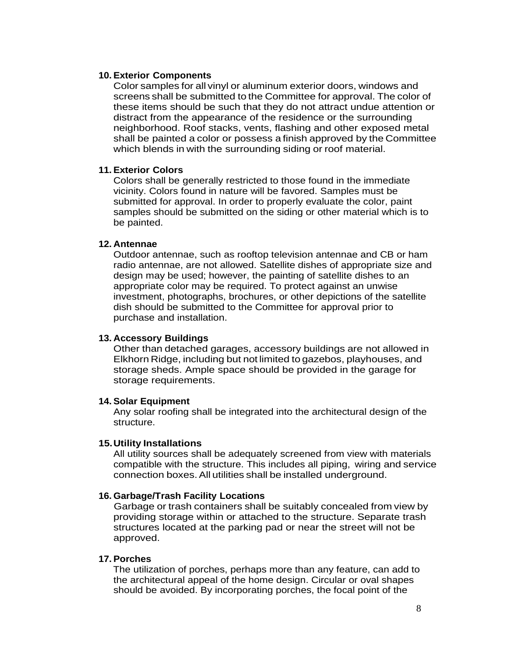#### **10. Exterior Components**

Color samples for all vinyl or aluminum exterior doors, windows and screens shall be submitted to the Committee for approval. The color of these items should be such that they do not attract undue attention or distract from the appearance of the residence or the surrounding neighborhood. Roof stacks, vents, flashing and other exposed metal shall be painted a color or possess a finish approved by the Committee which blends in with the surrounding siding or roof material.

#### **11. Exterior Colors**

Colors shall be generally restricted to those found in the immediate vicinity. Colors found in nature will be favored. Samples must be submitted for approval. In order to properly evaluate the color, paint samples should be submitted on the siding or other material which is to be painted.

#### **12. Antennae**

Outdoor antennae, such as rooftop television antennae and CB or ham radio antennae, are not allowed. Satellite dishes of appropriate size and design may be used; however, the painting of satellite dishes to an appropriate color may be required. To protect against an unwise investment, photographs, brochures, or other depictions of the satellite dish should be submitted to the Committee for approval prior to purchase and installation.

#### **13. Accessory Buildings**

Other than detached garages, accessory buildings are not allowed in Elkhorn Ridge, including but not limited to gazebos, playhouses, and storage sheds. Ample space should be provided in the garage for storage requirements.

#### **14. Solar Equipment**

Any solar roofing shall be integrated into the architectural design of the structure.

#### **15.Utility Installations**

All utility sources shall be adequately screened from view with materials compatible with the structure. This includes all piping, wiring and service connection boxes.All utilities shall be installed underground.

#### **16. Garbage/Trash Facility Locations**

Garbage or trash containers shall be suitably concealed from view by providing storage within or attached to the structure. Separate trash structures located at the parking pad or near the street will not be approved.

#### **17. Porches**

The utilization of porches, perhaps more than any feature, can add to the architectural appeal of the home design. Circular or oval shapes should be avoided. By incorporating porches, the focal point of the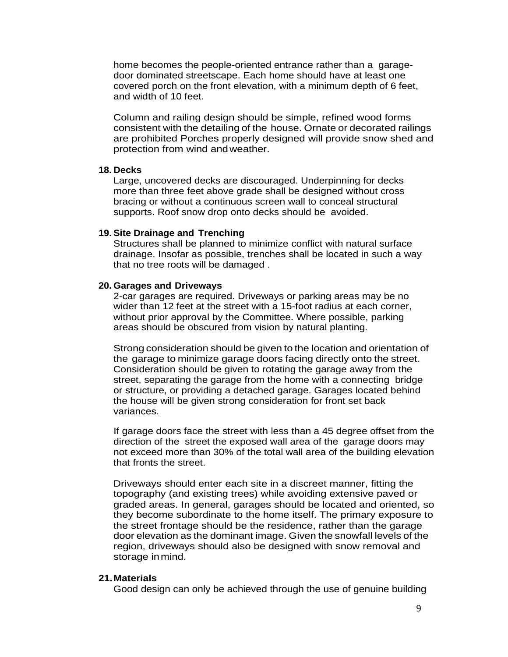home becomes the people-oriented entrance rather than a garagedoor dominated streetscape. Each home should have at least one covered porch on the front elevation, with a minimum depth of 6 feet, and width of 10 feet.

Column and railing design should be simple, refined wood forms consistent with the detailing of the house. Ornate or decorated railings are prohibited Porches properly designed will provide snow shed and protection from wind andweather.

#### **18. Decks**

Large, uncovered decks are discouraged. Underpinning for decks more than three feet above grade shall be designed without cross bracing or without a continuous screen wall to conceal structural supports. Roof snow drop onto decks should be avoided.

#### **19. Site Drainage and Trenching**

Structures shall be planned to minimize conflict with natural surface drainage. Insofar as possible, trenches shall be located in such a way that no tree roots will be damaged .

#### **20. Garages and Driveways**

2-car garages are required. Driveways or parking areas may be no wider than 12 feet at the street with a 15-foot radius at each corner, without prior approval by the Committee. Where possible, parking areas should be obscured from vision by natural planting.

Strong consideration should be given to the location and orientation of the garage to minimize garage doors facing directly onto the street. Consideration should be given to rotating the garage away from the street, separating the garage from the home with a connecting bridge or structure, or providing a detached garage. Garages located behind the house will be given strong consideration for front set back variances.

If garage doors face the street with less than a 45 degree offset from the direction of the street the exposed wall area of the garage doors may not exceed more than 30% of the total wall area of the building elevation that fronts the street.

Driveways should enter each site in a discreet manner, fitting the topography (and existing trees) while avoiding extensive paved or graded areas. In general, garages should be located and oriented, so they become subordinate to the home itself. The primary exposure to the street frontage should be the residence, rather than the garage door elevation as the dominant image. Given the snowfall levels of the region, driveways should also be designed with snow removal and storage inmind.

#### **21.Materials**

Good design can only be achieved through the use of genuine building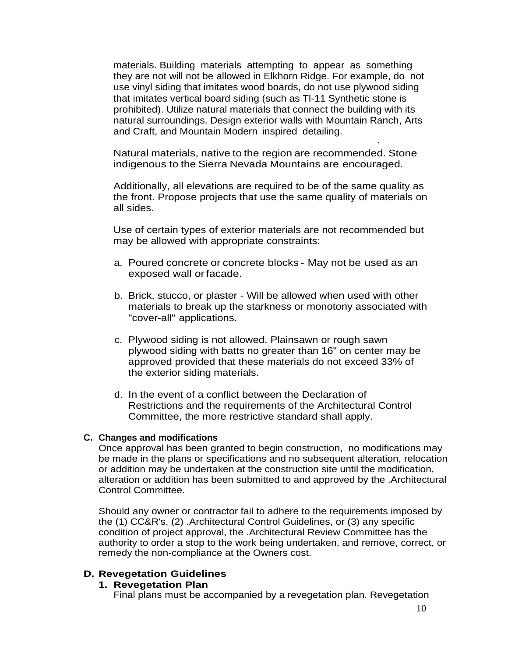materials. Building materials attempting to appear as something they are not will not be allowed in Elkhorn Ridge. For example, do not use vinyl siding that imitates wood boards, do not use plywood siding that imitates vertical board siding (such as Tl-11 Synthetic stone is prohibited). Utilize natural materials that connect the building with its natural surroundings. Design exterior walls with Mountain Ranch, Arts and Craft, and Mountain Modern inspired detailing.

Natural materials, native to the region are recommended. Stone indigenous to the Sierra Nevada Mountains are encouraged.

·

Additionally, all elevations are required to be of the same quality as the front. Propose projects that use the same quality of materials on all sides.

Use of certain types of exterior materials are not recommended but may be allowed with appropriate constraints:

- a. Poured concrete or concrete blocks May not be used as an exposed wall orfacade.
- b. Brick, stucco, or plaster Will be allowed when used with other materials to break up the starkness or monotony associated with "cover-all" applications.
- c. Plywood siding is not allowed. Plainsawn or rough sawn plywood siding with batts no greater than 16" on center may be approved provided that these materials do not exceed 33% of the exterior siding materials.
- d. In the event of a conflict between the Declaration of Restrictions and the requirements of the Architectural Control Committee, the more restrictive standard shall apply.

#### **C. Changes and modifications**

Once approval has been granted to begin construction, no modifications may be made in the plans or specifications and no subsequent alteration, relocation or addition may be undertaken at the construction site until the modification, alteration or addition has been submitted to and approved by the .Architectural Control Committee.

Should any owner or contractor fail to adhere to the requirements imposed by the (1) CC&R's, (2) .Architectural Control Guidelines, or (3) any specific condition of project approval, the .Architectural Review Committee has the authority to order a stop to the work being undertaken, and remove, correct, or remedy the non-compliance at the Owners cost.

## **D. Revegetation Guidelines**

## **1. Revegetation Plan**

Final plans must be accompanied by a revegetation plan. Revegetation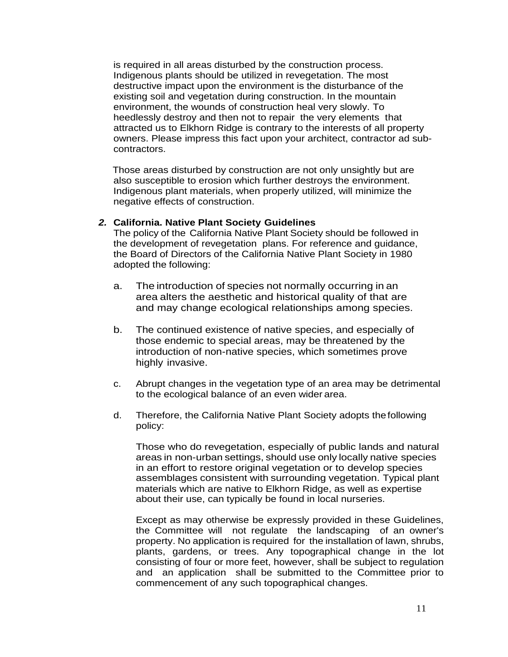is required in all areas disturbed by the construction process. Indigenous plants should be utilized in revegetation. The most destructive impact upon the environment is the disturbance of the existing soil and vegetation during construction. In the mountain environment, the wounds of construction heal very slowly. To heedlessly destroy and then not to repair the very elements that attracted us to Elkhorn Ridge is contrary to the interests of all property owners. Please impress this fact upon your architect, contractor ad subcontractors.

Those areas disturbed by construction are not only unsightly but are also susceptible to erosion which further destroys the environment. Indigenous plant materials, when properly utilized, will minimize the negative effects of construction.

#### *2.* **California. Native Plant Society Guidelines**

The policy of the California Native Plant Society should be followed in the development of revegetation plans. For reference and guidance, the Board of Directors of the California Native Plant Society in 1980 adopted the following:

- a. The introduction of species not normally occurring in an area alters the aesthetic and historical quality of that are and may change ecological relationships among species.
- b. The continued existence of native species, and especially of those endemic to special areas, may be threatened by the introduction of non-native species, which sometimes prove highly invasive.
- c. Abrupt changes in the vegetation type of an area may be detrimental to the ecological balance of an even wider area.
- d. Therefore, the California Native Plant Society adopts thefollowing policy:

Those who do revegetation, especially of public lands and natural areas in non-urban settings, should use only locally native species in an effort to restore original vegetation or to develop species assemblages consistent with surrounding vegetation. Typical plant materials which are native to Elkhorn Ridge, as well as expertise about their use, can typically be found in local nurseries.

Except as may otherwise be expressly provided in these Guidelines, the Committee will not regulate the landscaping of an owner's property. No application is required for the installation of lawn, shrubs, plants, gardens, or trees. Any topographical change in the lot consisting of four or more feet, however, shall be subject to regulation and an application shall be submitted to the Committee prior to commencement of any such topographical changes.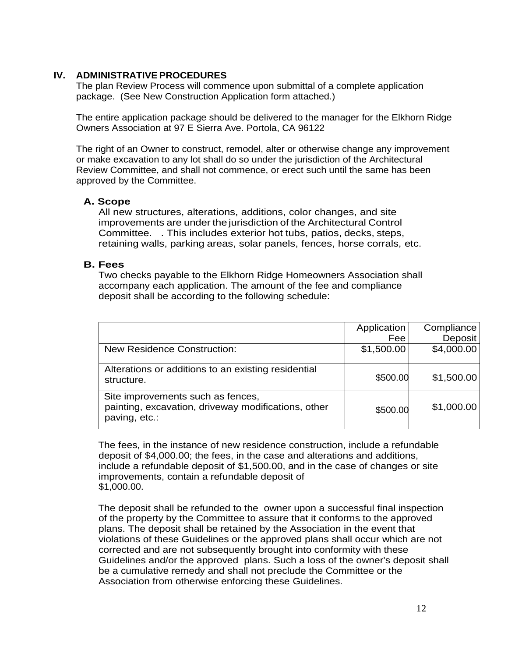## **IV. ADMINISTRATIVE PROCEDURES**

The plan Review Process will commence upon submittal of a complete application package. (See New Construction Application form attached.)

The entire application package should be delivered to the manager for the Elkhorn Ridge Owners Association at 97 E Sierra Ave. Portola, CA 96122

The right of an Owner to construct, remodel, alter or otherwise change any improvement or make excavation to any lot shall do so under the jurisdiction of the Architectural Review Committee, and shall not commence, or erect such until the same has been approved by the Committee.

## **A. Scope**

All new structures, alterations, additions, color changes, and site improvements are under the jurisdiction of the Architectural Control Committee. . This includes exterior hot tubs, patios, decks, steps, retaining walls, parking areas, solar panels, fences, horse corrals, etc.

## **B. Fees**

Two checks payable to the Elkhorn Ridge Homeowners Association shall accompany each application. The amount of the fee and compliance deposit shall be according to the following schedule:

|                                                                                                           | Application | Compliance |
|-----------------------------------------------------------------------------------------------------------|-------------|------------|
|                                                                                                           | Fee         | Deposit    |
| <b>New Residence Construction:</b>                                                                        | \$1,500.00  | \$4,000.00 |
| Alterations or additions to an existing residential<br>structure.                                         | \$500.00    | \$1,500.00 |
| Site improvements such as fences,<br>painting, excavation, driveway modifications, other<br>paving, etc.: | \$500.00    | \$1,000.00 |

The fees, in the instance of new residence construction, include a refundable deposit of \$4,000.00; the fees, in the case and alterations and additions, include a refundable deposit of \$1,500.00, and in the case of changes or site improvements, contain a refundable deposit of \$1,000.00.

The deposit shall be refunded to the owner upon a successful final inspection of the property by the Committee to assure that it conforms to the approved plans. The deposit shall be retained by the Association in the event that violations of these Guidelines or the approved plans shall occur which are not corrected and are not subsequently brought into conformity with these Guidelines and/or the approved plans. Such a loss of the owner's deposit shall be a cumulative remedy and shall not preclude the Committee or the Association from otherwise enforcing these Guidelines.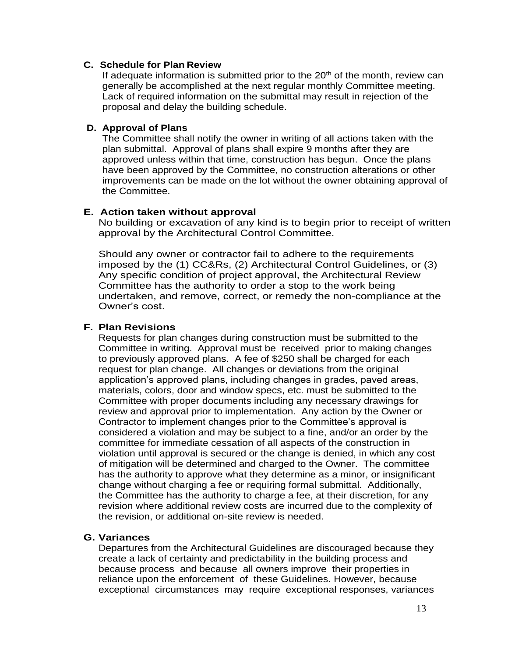## **C. Schedule for Plan Review**

If adequate information is submitted prior to the  $20<sup>th</sup>$  of the month, review can generally be accomplished at the next regular monthly Committee meeting. Lack of required information on the submittal may result in rejection of the proposal and delay the building schedule.

## **D. Approval of Plans**

The Committee shall notify the owner in writing of all actions taken with the plan submittal. Approval of plans shall expire 9 months after they are approved unless within that time, construction has begun. Once the plans have been approved by the Committee, no construction alterations or other improvements can be made on the lot without the owner obtaining approval of the Committee.

## **E. Action taken without approval**

No building or excavation of any kind is to begin prior to receipt of written approval by the Architectural Control Committee.

Should any owner or contractor fail to adhere to the requirements imposed by the (1) CC&Rs, (2) Architectural Control Guidelines, or (3) Any specific condition of project approval, the Architectural Review Committee has the authority to order a stop to the work being undertaken, and remove, correct, or remedy the non-compliance at the Owner's cost.

## **F. Plan Revisions**

Requests for plan changes during construction must be submitted to the Committee in writing. Approval must be received prior to making changes to previously approved plans. A fee of \$250 shall be charged for each request for plan change. All changes or deviations from the original application's approved plans, including changes in grades, paved areas, materials, colors, door and window specs, etc. must be submitted to the Committee with proper documents including any necessary drawings for review and approval prior to implementation. Any action by the Owner or Contractor to implement changes prior to the Committee's approval is considered a violation and may be subject to a fine, and/or an order by the committee for immediate cessation of all aspects of the construction in violation until approval is secured or the change is denied, in which any cost of mitigation will be determined and charged to the Owner. The committee has the authority to approve what they determine as a minor, or insignificant change without charging a fee or requiring formal submittal. Additionally, the Committee has the authority to charge a fee, at their discretion, for any revision where additional review costs are incurred due to the complexity of the revision, or additional on-site review is needed.

#### **G. Variances**

Departures from the Architectural Guidelines are discouraged because they create a lack of certainty and predictability in the building process and because process and because all owners improve their properties in reliance upon the enforcement of these Guidelines. However, because exceptional circumstances may require exceptional responses, variances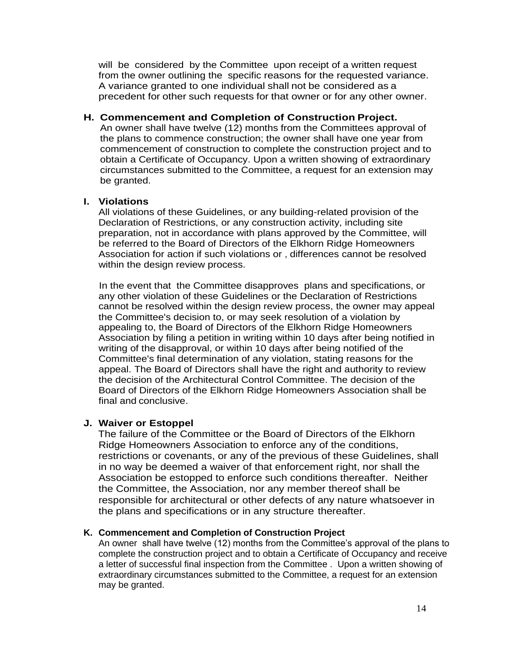will be considered by the Committee upon receipt of a written request from the owner outlining the specific reasons for the requested variance. A variance granted to one individual shall not be considered as a precedent for other such requests for that owner or for any other owner.

## **H. Commencement and Completion of Construction Project.**

An owner shall have twelve (12) months from the Committees approval of the plans to commence construction; the owner shall have one year from commencement of construction to complete the construction project and to obtain a Certificate of Occupancy. Upon a written showing of extraordinary circumstances submitted to the Committee, a request for an extension may be granted.

# **I. Violations**

All violations of these Guidelines, or any building-related provision of the Declaration of Restrictions, or any construction activity, including site preparation, not in accordance with plans approved by the Committee, will be referred to the Board of Directors of the Elkhorn Ridge Homeowners Association for action if such violations or , differences cannot be resolved within the design review process.

In the event that the Committee disapproves plans and specifications, or any other violation of these Guidelines or the Declaration of Restrictions cannot be resolved within the design review process, the owner may appeal the Committee's decision to, or may seek resolution of a violation by appealing to, the Board of Directors of the Elkhorn Ridge Homeowners Association by filing a petition in writing within 10 days after being notified in writing of the disapproval, or within 10 days after being notified of the Committee's final determination of any violation, stating reasons for the appeal. The Board of Directors shall have the right and authority to review the decision of the Architectural Control Committee. The decision of the Board of Directors of the Elkhorn Ridge Homeowners Association shall be final and conclusive.

# **J. Waiver or Estoppel**

The failure of the Committee or the Board of Directors of the Elkhorn Ridge Homeowners Association to enforce any of the conditions, restrictions or covenants, or any of the previous of these Guidelines, shall in no way be deemed a waiver of that enforcement right, nor shall the Association be estopped to enforce such conditions thereafter. Neither the Committee, the Association, nor any member thereof shall be responsible for architectural or other defects of any nature whatsoever in the plans and specifications or in any structure thereafter.

# **K. Commencement and Completion of Construction Project**

An owner shall have twelve (12) months from the Committee's approval of the plans to complete the construction project and to obtain a Certificate of Occupancy and receive a letter of successful final inspection from the Committee . Upon a written showing of extraordinary circumstances submitted to the Committee, a request for an extension may be granted.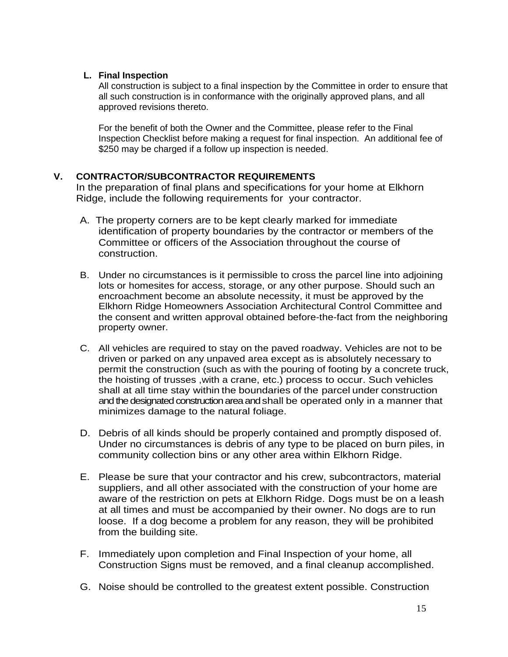## **L. Final Inspection**

All construction is subject to a final inspection by the Committee in order to ensure that all such construction is in conformance with the originally approved plans, and all approved revisions thereto.

For the benefit of both the Owner and the Committee, please refer to the Final Inspection Checklist before making a request for final inspection. An additional fee of \$250 may be charged if a follow up inspection is needed.

# **V. CONTRACTOR/SUBCONTRACTOR REQUIREMENTS**

In the preparation of final plans and specifications for your home at Elkhorn Ridge, include the following requirements for your contractor.

- A. The property corners are to be kept clearly marked for immediate identification of property boundaries by the contractor or members of the Committee or officers of the Association throughout the course of construction.
- B. Under no circumstances is it permissible to cross the parcel line into adjoining lots or homesites for access, storage, or any other purpose. Should such an encroachment become an absolute necessity, it must be approved by the Elkhorn Ridge Homeowners Association Architectural Control Committee and the consent and written approval obtained before-the-fact from the neighboring property owner.
- C. All vehicles are required to stay on the paved roadway. Vehicles are not to be driven or parked on any unpaved area except as is absolutely necessary to permit the construction (such as with the pouring of footing by a concrete truck, the hoisting of trusses ,with a crane, etc.) process to occur. Such vehicles shall at all time stay within the boundaries of the parcel under construction and the designated construction area andshall be operated only in a manner that minimizes damage to the natural foliage.
- D. Debris of all kinds should be properly contained and promptly disposed of. Under no circumstances is debris of any type to be placed on burn piles, in community collection bins or any other area within Elkhorn Ridge.
- E. Please be sure that your contractor and his crew, subcontractors, material suppliers, and all other associated with the construction of your home are aware of the restriction on pets at Elkhorn Ridge. Dogs must be on a leash at all times and must be accompanied by their owner. No dogs are to run loose. If a dog become a problem for any reason, they will be prohibited from the building site.
- F. Immediately upon completion and Final Inspection of your home, all Construction Signs must be removed, and a final cleanup accomplished.
- G. Noise should be controlled to the greatest extent possible. Construction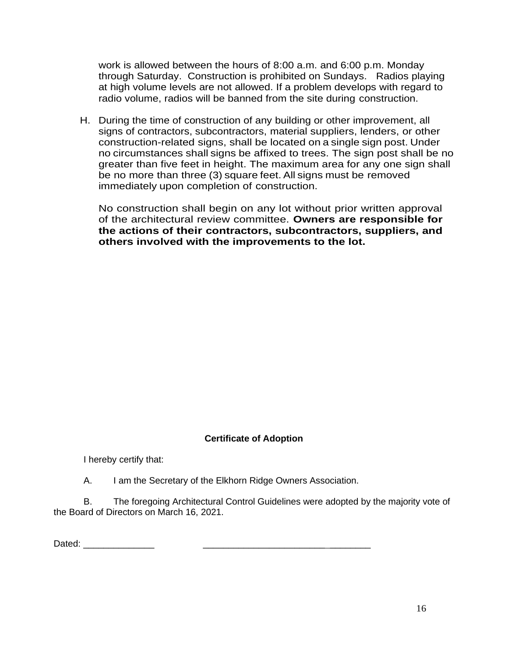work is allowed between the hours of 8:00 a.m. and 6:00 p.m. Monday through Saturday. Construction is prohibited on Sundays. Radios playing at high volume levels are not allowed. If a problem develops with regard to radio volume, radios will be banned from the site during construction.

H. During the time of construction of any building or other improvement, all signs of contractors, subcontractors, material suppliers, lenders, or other construction-related signs, shall be located on a single sign post. Under no circumstances shall signs be affixed to trees. The sign post shall be no greater than five feet in height. The maximum area for any one sign shall be no more than three (3) square feet. All signs must be removed immediately upon completion of construction.

No construction shall begin on any lot without prior written approval of the architectural review committee. **Owners are responsible for the actions of their contractors, subcontractors, suppliers, and others involved with the improvements to the lot.**

## **Certificate of Adoption**

I hereby certify that:

A. I am the Secretary of the Elkhorn Ridge Owners Association.

B. The foregoing Architectural Control Guidelines were adopted by the majority vote of the Board of Directors on March 16, 2021.

Dated:  $\Box$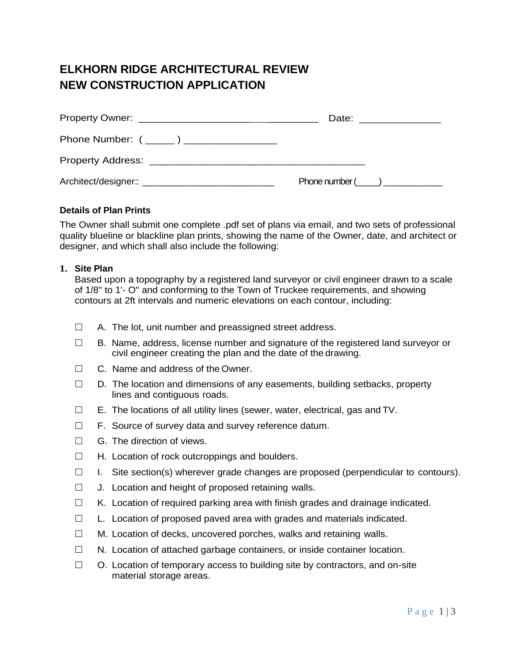# **ELKHORN RIDGE ARCHITECTURAL REVIEW NEW CONSTRUCTION APPLICATION**

|                                          | Date: ________________ |
|------------------------------------------|------------------------|
| Phone Number: ( _____) _________________ |                        |
|                                          |                        |
|                                          | Phone number ( )       |

#### **Details of Plan Prints**

The Owner shall submit one complete .pdf set of plans via email, and two sets of professional quality blueline or blackline plan prints, showing the name of the Owner, date, and architect or designer, and which shall also include the following:

#### **1. Site Plan**

Based upon a topography by a registered land surveyor or civil engineer drawn to a scale of 1/8" to 1'- O" and conforming to the Town of Truckee requirements, and showing contours at 2ft intervals and numeric elevations on each contour, including:

- $\Box$  A. The lot, unit number and preassigned street address.
- $\Box$  B. Name, address, license number and signature of the registered land surveyor or civil engineer creating the plan and the date of the drawing.
- $\Box$  C. Name and address of the Owner.
- $\Box$  D. The location and dimensions of any easements, building setbacks, property lines and contiguous roads.
- $\Box$  E. The locations of all utility lines (sewer, water, electrical, gas and TV.
- $\Box$  F. Source of survey data and survey reference datum.
- $\Box$  G. The direction of views.
- $\Box$  H. Location of rock outcroppings and boulders.
- $\Box$  I. Site section(s) wherever grade changes are proposed (perpendicular to contours).
- $\Box$  J. Location and height of proposed retaining walls.
- $\Box$  K. Location of required parking area with finish grades and drainage indicated.
- $\Box$  L. Location of proposed paved area with grades and materials indicated.
- $\Box$  M. Location of decks, uncovered porches, walks and retaining walls.
- $\Box$  N. Location of attached garbage containers, or inside container location.
- $\Box$  O. Location of temporary access to building site by contractors, and on-site material storage areas.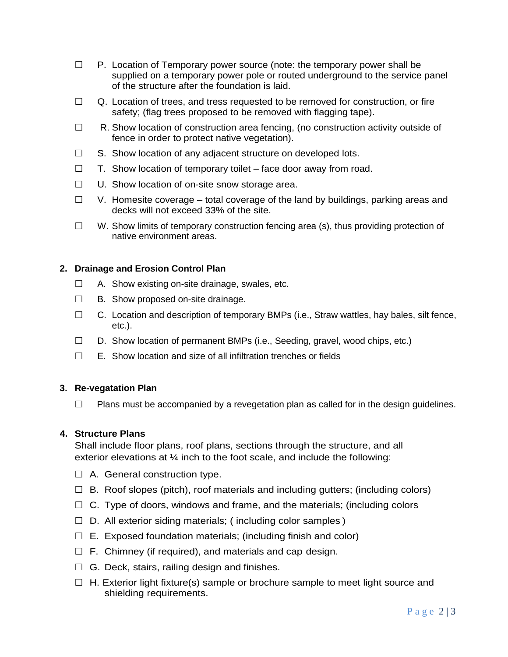- $\Box$  P. Location of Temporary power source (note: the temporary power shall be supplied on a temporary power pole or routed underground to the service panel of the structure after the foundation is laid.
- $\Box$  Q. Location of trees, and tress requested to be removed for construction, or fire safety; (flag trees proposed to be removed with flagging tape).
- $\Box$  R. Show location of construction area fencing, (no construction activity outside of fence in order to protect native vegetation).
- $\Box$  S. Show location of any adjacent structure on developed lots.
- $\Box$  T. Show location of temporary toilet face door away from road.
- $\Box$  U. Show location of on-site snow storage area.
- $\Box$  V. Homesite coverage total coverage of the land by buildings, parking areas and decks will not exceed 33% of the site.
- $\Box$  W. Show limits of temporary construction fencing area (s), thus providing protection of native environment areas.

## **2. Drainage and Erosion Control Plan**

- $\Box$  A. Show existing on-site drainage, swales, etc.
- $\Box$  B. Show proposed on-site drainage.
- $\Box$  C. Location and description of temporary BMPs (i.e., Straw wattles, hay bales, silt fence, etc.).
- $\Box$  D. Show location of permanent BMPs (i.e., Seeding, gravel, wood chips, etc.)
- $\Box$  E. Show location and size of all infiltration trenches or fields

#### **3. Re-vegatation Plan**

 $\Box$  Plans must be accompanied by a revegetation plan as called for in the design quidelines.

#### **4. Structure Plans**

Shall include floor plans, roof plans, sections through the structure, and all exterior elevations at ¼ inch to the foot scale, and include the following:

- $\Box$  A. General construction type.
- $\Box$  B. Roof slopes (pitch), roof materials and including gutters; (including colors)
- $\Box$  C. Type of doors, windows and frame, and the materials; (including colors
- $\Box$  D. All exterior siding materials; (including color samples)
- $\Box$  E. Exposed foundation materials; (including finish and color)
- $\Box$  F. Chimney (if required), and materials and cap design.
- $\Box$  G. Deck, stairs, railing design and finishes.
- $\Box$  H. Exterior light fixture(s) sample or brochure sample to meet light source and shielding requirements.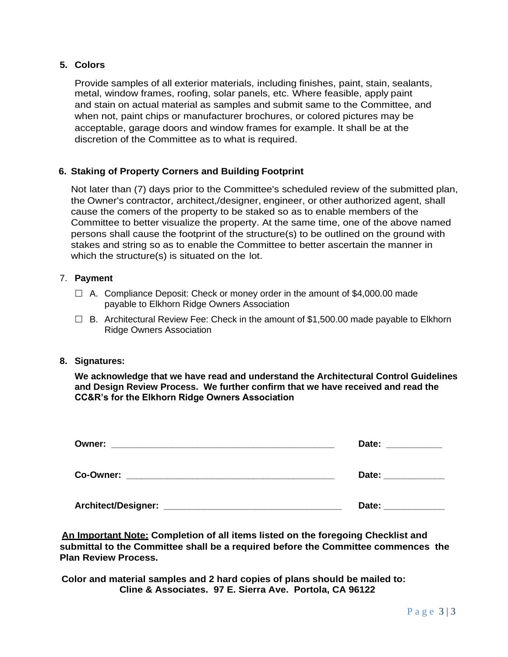## **5. Colors**

Provide samples of all exterior materials, including finishes, paint, stain, sealants, metal, window frames, roofing, solar panels, etc. Where feasible, apply paint and stain on actual material as samples and submit same to the Committee, and when not, paint chips or manufacturer brochures, or colored pictures may be acceptable, garage doors and window frames for example. It shall be at the discretion of the Committee as to what is required.

## **6. Staking of Property Corners and Building Footprint**

Not later than (7) days prior to the Committee's scheduled review of the submitted plan, the Owner's contractor, architect,/designer, engineer, or other authorized agent, shall cause the comers of the property to be staked so as to enable members of the Committee to better visualize the property. At the same time, one of the above named persons shall cause the footprint of the structure(s) to be outlined on the ground with stakes and string so as to enable the Committee to better ascertain the manner in which the structure(s) is situated on the lot.

#### 7. **Payment**

- $\Box$  A. Compliance Deposit: Check or money order in the amount of \$4,000.00 made payable to Elkhorn Ridge Owners Association
- $\Box$  B. Architectural Review Fee: Check in the amount of \$1,500.00 made payable to Elkhorn Ridge Owners Association

#### **8. Signatures:**

**We acknowledge that we have read and understand the Architectural Control Guidelines and Design Review Process. We further confirm that we have received and read the CC&R's for the Elkhorn Ridge Owners Association**

| Owner: | Date:               |
|--------|---------------------|
|        | Date: _____________ |
|        | Date:               |

**An Important Note: Completion of all items listed on the foregoing Checklist and submittal to the Committee shall be a required before the Committee commences the Plan Review Process.**

**Color and material samples and 2 hard copies of plans should be mailed to: Cline & Associates. 97 E. Sierra Ave. Portola, CA 96122**